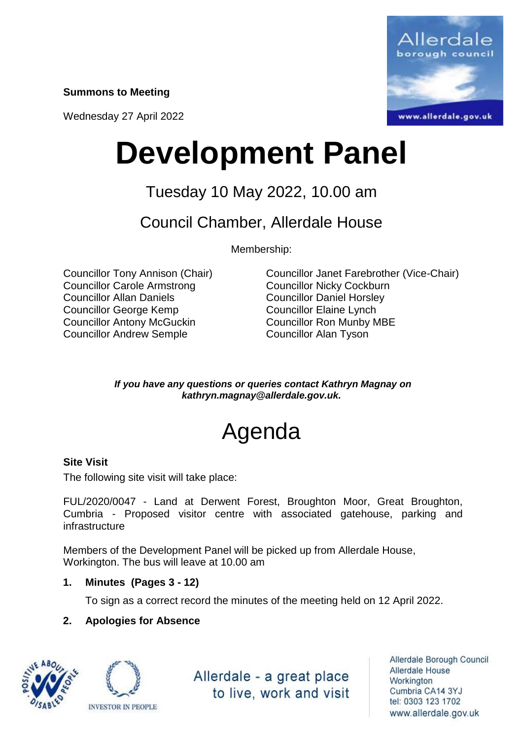**Summons to Meeting**

Wednesday 27 April 2022



# **Development Panel**

## Tuesday 10 May 2022, 10.00 am

### Council Chamber, Allerdale House

Membership:

Councillor Carole Armstrong Councillor Nicky Cockburn Councillor Allan Daniels Councillor Daniel Horsley Councillor George Kemp Councillor Elaine Lynch Councillor Antony McGuckin Councillor Ron Munby MBE Councillor Andrew Semple Councillor Alan Tyson

Councillor Tony Annison (Chair) Councillor Janet Farebrother (Vice-Chair)

*If you have any questions or queries contact Kathryn Magnay on kathryn.magnay@allerdale.gov.uk.*

## Agenda

#### **Site Visit**

The following site visit will take place:

FUL/2020/0047 - Land at Derwent Forest, Broughton Moor, Great Broughton, Cumbria - Proposed visitor centre with associated gatehouse, parking and infrastructure

Members of the Development Panel will be picked up from Allerdale House, Workington. The bus will leave at 10.00 am

#### **1. Minutes (Pages 3 - 12)**

To sign as a correct record the minutes of the meeting held on 12 April 2022.

#### **2. Apologies for Absence**





Allerdale - a great place to live, work and visit

Allerdale Borough Council Allerdale House Workington Cumbria CA14 3YJ tel: 0303 123 1702 www.allerdale.gov.uk